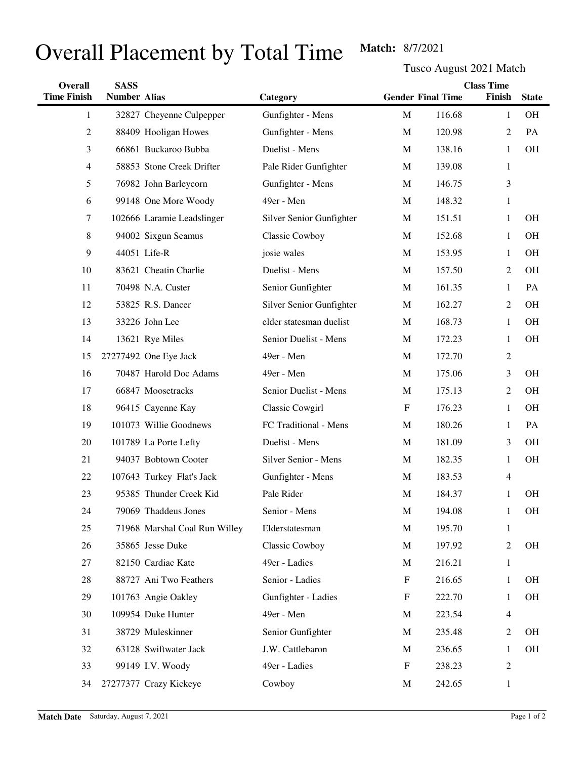## Overall Placement by Total Time Match: 8/7/2021

Tusco August 2021 Match

| <b>Overall</b>     | <b>SASS</b>         |                               |                          |              |                          | <b>Class Time</b> |              |
|--------------------|---------------------|-------------------------------|--------------------------|--------------|--------------------------|-------------------|--------------|
| <b>Time Finish</b> | <b>Number Alias</b> |                               | Category                 |              | <b>Gender Final Time</b> | Finish            | <b>State</b> |
| 1                  |                     | 32827 Cheyenne Culpepper      | Gunfighter - Mens        | $\mathbf M$  | 116.68                   | 1                 | <b>OH</b>    |
| 2                  |                     | 88409 Hooligan Howes          | Gunfighter - Mens        | M            | 120.98                   | 2                 | PA           |
| 3                  |                     | 66861 Buckaroo Bubba          | Duelist - Mens           | M            | 138.16                   | 1                 | <b>OH</b>    |
| 4                  |                     | 58853 Stone Creek Drifter     | Pale Rider Gunfighter    | M            | 139.08                   | $\mathbf{1}$      |              |
| 5                  |                     | 76982 John Barleycorn         | Gunfighter - Mens        | M            | 146.75                   | $\mathfrak{Z}$    |              |
| 6                  |                     | 99148 One More Woody          | 49er - Men               | M            | 148.32                   | $\mathbf{1}$      |              |
| 7                  |                     | 102666 Laramie Leadslinger    | Silver Senior Gunfighter | M            | 151.51                   | $\mathbf{1}$      | <b>OH</b>    |
| 8                  |                     | 94002 Sixgun Seamus           | <b>Classic Cowboy</b>    | M            | 152.68                   | 1                 | <b>OH</b>    |
| 9                  |                     | 44051 Life-R                  | josie wales              | M            | 153.95                   | 1                 | <b>OH</b>    |
| 10                 |                     | 83621 Cheatin Charlie         | Duelist - Mens           | M            | 157.50                   | $\overline{2}$    | <b>OH</b>    |
| 11                 |                     | 70498 N.A. Custer             | Senior Gunfighter        | M            | 161.35                   | 1                 | PA           |
| 12                 |                     | 53825 R.S. Dancer             | Silver Senior Gunfighter | M            | 162.27                   | $\overline{2}$    | <b>OH</b>    |
| 13                 |                     | 33226 John Lee                | elder statesman duelist  | $\mathbf{M}$ | 168.73                   | 1                 | <b>OH</b>    |
| 14                 |                     | 13621 Rye Miles               | Senior Duelist - Mens    | M            | 172.23                   | 1                 | <b>OH</b>    |
| 15                 |                     | 27277492 One Eye Jack         | 49er - Men               | M            | 172.70                   | $\overline{2}$    |              |
| 16                 |                     | 70487 Harold Doc Adams        | 49er - Men               | M            | 175.06                   | 3                 | <b>OH</b>    |
| 17                 |                     | 66847 Moosetracks             | Senior Duelist - Mens    | $\mathbf{M}$ | 175.13                   | $\overline{2}$    | <b>OH</b>    |
| 18                 |                     | 96415 Cayenne Kay             | Classic Cowgirl          | $\mathbf{F}$ | 176.23                   | $\mathbf{1}$      | <b>OH</b>    |
| 19                 |                     | 101073 Willie Goodnews        | FC Traditional - Mens    | M            | 180.26                   | 1                 | PA           |
| 20                 |                     | 101789 La Porte Lefty         | Duelist - Mens           | M            | 181.09                   | 3                 | <b>OH</b>    |
| 21                 |                     | 94037 Bobtown Cooter          | Silver Senior - Mens     | M            | 182.35                   | 1                 | <b>OH</b>    |
| 22                 |                     | 107643 Turkey Flat's Jack     | Gunfighter - Mens        | M            | 183.53                   | $\overline{4}$    |              |
| 23                 |                     | 95385 Thunder Creek Kid       | Pale Rider               | $\mathbf M$  | 184.37                   | 1                 | OH           |
| 24                 |                     | 79069 Thaddeus Jones          | Senior - Mens            | M            | 194.08                   | 1                 | OH           |
| 25                 |                     | 71968 Marshal Coal Run Willey | Elderstatesman           | $\mathbf M$  | 195.70                   | $\mathbf{1}$      |              |
| 26                 |                     | 35865 Jesse Duke              | <b>Classic Cowboy</b>    | M            | 197.92                   | $\overline{2}$    | OH           |
| 27                 |                     | 82150 Cardiac Kate            | 49er - Ladies            | M            | 216.21                   | $\mathbf{1}$      |              |
| 28                 |                     | 88727 Ani Two Feathers        | Senior - Ladies          | $\mathbf{F}$ | 216.65                   | 1                 | <b>OH</b>    |
| 29                 |                     | 101763 Angie Oakley           | Gunfighter - Ladies      | $\mathbf{F}$ | 222.70                   | 1                 | OH           |
| 30                 |                     | 109954 Duke Hunter            | 49er - Men               | M            | 223.54                   | $\overline{4}$    |              |
| 31                 |                     | 38729 Muleskinner             | Senior Gunfighter        | M            | 235.48                   | 2                 | OH           |
| 32                 |                     | 63128 Swiftwater Jack         | J.W. Cattlebaron         | M            | 236.65                   | 1                 | OH           |
| 33                 |                     | 99149 I.V. Woody              | 49er - Ladies            | $\mathbf{F}$ | 238.23                   | $\overline{2}$    |              |
| 34                 |                     | 27277377 Crazy Kickeye        | Cowboy                   | M            | 242.65                   | $\mathbf{1}$      |              |